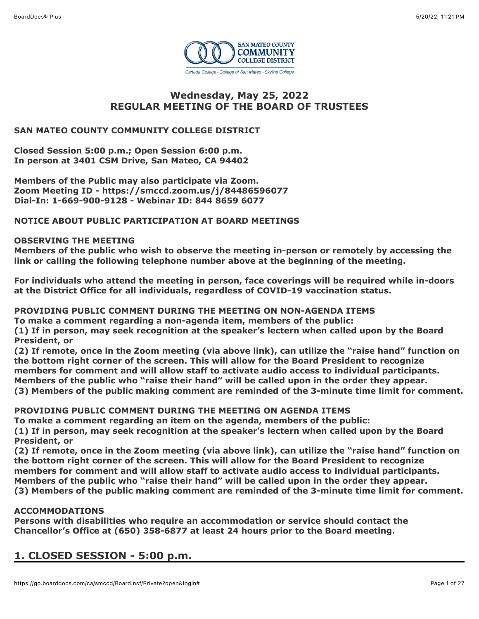

# **Wednesday, May 25, 2022 REGULAR MEETING OF THE BOARD OF TRUSTEES**

# **SAN MATEO COUNTY COMMUNITY COLLEGE DISTRICT**

**Closed Session 5:00 p.m.; Open Session 6:00 p.m. In person at 3401 CSM Drive, San Mateo, CA 94402**

**Members of the Public may also participate via Zoom. Zoom Meeting ID - https://smccd.zoom.us/j/84486596077 Dial-In: 1-669-900-9128 - Webinar ID: 844 8659 6077**

# **NOTICE ABOUT PUBLIC PARTICIPATION AT BOARD MEETINGS**

# **OBSERVING THE MEETING**

**Members of the public who wish to observe the meeting in-person or remotely by accessing the link or calling the following telephone number above at the beginning of the meeting.**

**For individuals who attend the meeting in person, face coverings will be required while in-doors at the District Office for all individuals, regardless of COVID-19 vaccination status.**

**PROVIDING PUBLIC COMMENT DURING THE MEETING ON NON-AGENDA ITEMS To make a comment regarding a non-agenda item, members of the public: (1) If in person, may seek recognition at the speaker's lectern when called upon by the Board President, or** 

**(2) If remote, once in the Zoom meeting (via above link), can utilize the "raise hand" function on the bottom right corner of the screen. This will allow for the Board President to recognize members for comment and will allow staff to activate audio access to individual participants. Members of the public who "raise their hand" will be called upon in the order they appear. (3) Members of the public making comment are reminded of the 3-minute time limit for comment.**

**PROVIDING PUBLIC COMMENT DURING THE MEETING ON AGENDA ITEMS**

**To make a comment regarding an item on the agenda, members of the public: (1) If in person, may seek recognition at the speaker's lectern when called upon by the Board**

**President, or** 

**(2) If remote, once in the Zoom meeting (via above link), can utilize the "raise hand" function on the bottom right corner of the screen. This will allow for the Board President to recognize members for comment and will allow staff to activate audio access to individual participants. Members of the public who "raise their hand" will be called upon in the order they appear. (3) Members of the public making comment are reminded of the 3-minute time limit for comment.**

# **ACCOMMODATIONS**

**Persons with disabilities who require an accommodation or service should contact the Chancellor's Office at (650) 358-6877 at least 24 hours prior to the Board meeting.**

# **1. CLOSED SESSION - 5:00 p.m.**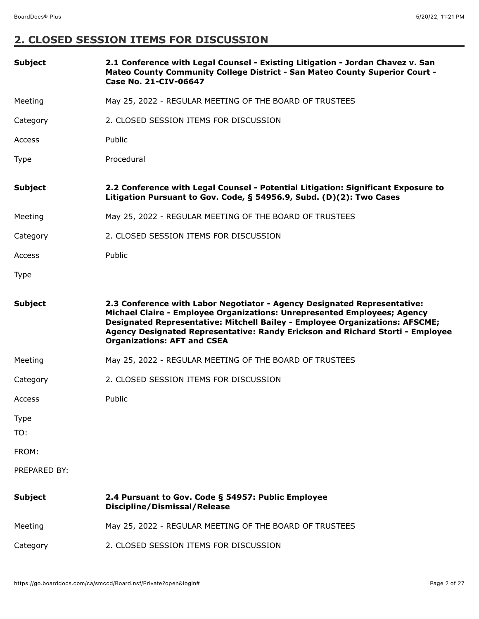# **2. CLOSED SESSION ITEMS FOR DISCUSSION**

| <b>Subject</b>     | 2.1 Conference with Legal Counsel - Existing Litigation - Jordan Chavez v. San<br>Mateo County Community College District - San Mateo County Superior Court -<br>Case No. 21-CIV-06647                                                                                                                                                                       |
|--------------------|--------------------------------------------------------------------------------------------------------------------------------------------------------------------------------------------------------------------------------------------------------------------------------------------------------------------------------------------------------------|
| Meeting            | May 25, 2022 - REGULAR MEETING OF THE BOARD OF TRUSTEES                                                                                                                                                                                                                                                                                                      |
| Category           | 2. CLOSED SESSION ITEMS FOR DISCUSSION                                                                                                                                                                                                                                                                                                                       |
| Access             | Public                                                                                                                                                                                                                                                                                                                                                       |
| Type               | Procedural                                                                                                                                                                                                                                                                                                                                                   |
| <b>Subject</b>     | 2.2 Conference with Legal Counsel - Potential Litigation: Significant Exposure to<br>Litigation Pursuant to Gov. Code, § 54956.9, Subd. (D)(2): Two Cases                                                                                                                                                                                                    |
| Meeting            | May 25, 2022 - REGULAR MEETING OF THE BOARD OF TRUSTEES                                                                                                                                                                                                                                                                                                      |
| Category           | 2. CLOSED SESSION ITEMS FOR DISCUSSION                                                                                                                                                                                                                                                                                                                       |
| Access             | Public                                                                                                                                                                                                                                                                                                                                                       |
| <b>Type</b>        |                                                                                                                                                                                                                                                                                                                                                              |
| <b>Subject</b>     | 2.3 Conference with Labor Negotiator - Agency Designated Representative:<br>Michael Claire - Employee Organizations: Unrepresented Employees; Agency<br>Designated Representative: Mitchell Bailey - Employee Organizations: AFSCME;<br>Agency Designated Representative: Randy Erickson and Richard Storti - Employee<br><b>Organizations: AFT and CSEA</b> |
| Meeting            | May 25, 2022 - REGULAR MEETING OF THE BOARD OF TRUSTEES                                                                                                                                                                                                                                                                                                      |
| Category           | 2. CLOSED SESSION ITEMS FOR DISCUSSION                                                                                                                                                                                                                                                                                                                       |
| Access             | Public                                                                                                                                                                                                                                                                                                                                                       |
| <b>Type</b><br>TO: |                                                                                                                                                                                                                                                                                                                                                              |
| FROM:              |                                                                                                                                                                                                                                                                                                                                                              |
| PREPARED BY:       |                                                                                                                                                                                                                                                                                                                                                              |
| <b>Subject</b>     | 2.4 Pursuant to Gov. Code § 54957: Public Employee<br><b>Discipline/Dismissal/Release</b>                                                                                                                                                                                                                                                                    |
| Meeting            | May 25, 2022 - REGULAR MEETING OF THE BOARD OF TRUSTEES                                                                                                                                                                                                                                                                                                      |
| Category           | 2. CLOSED SESSION ITEMS FOR DISCUSSION                                                                                                                                                                                                                                                                                                                       |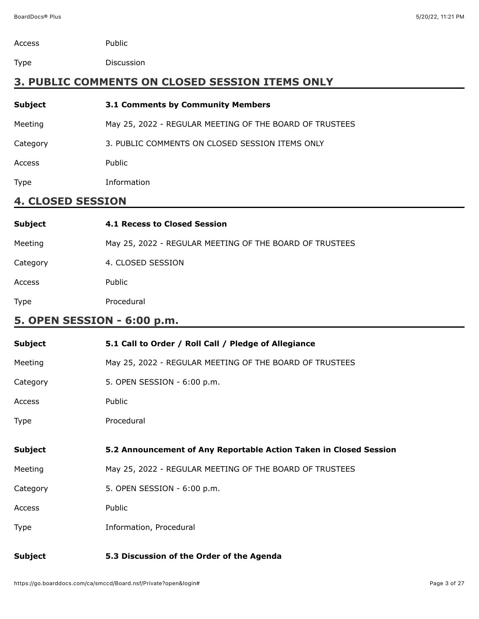| Access | Public |
|--------|--------|
|        |        |

Type Discussion

# **3. PUBLIC COMMENTS ON CLOSED SESSION ITEMS ONLY**

| <b>Subject</b> | 3.1 Comments by Community Members                       |
|----------------|---------------------------------------------------------|
| Meeting        | May 25, 2022 - REGULAR MEETING OF THE BOARD OF TRUSTEES |
| Category       | 3. PUBLIC COMMENTS ON CLOSED SESSION ITEMS ONLY         |
| Access         | Public                                                  |
| Type           | Information                                             |
|                |                                                         |

# **4. CLOSED SESSION**

| <b>Subject</b> | <b>4.1 Recess to Closed Session</b>                     |
|----------------|---------------------------------------------------------|
| Meeting        | May 25, 2022 - REGULAR MEETING OF THE BOARD OF TRUSTEES |
| Category       | 4. CLOSED SESSION                                       |
| <b>Access</b>  | Public                                                  |
| <b>Type</b>    | Procedural                                              |

# **5. OPEN SESSION - 6:00 p.m.**

| <b>Subject</b> | 5.1 Call to Order / Roll Call / Pledge of Allegiance              |
|----------------|-------------------------------------------------------------------|
| Meeting        | May 25, 2022 - REGULAR MEETING OF THE BOARD OF TRUSTEES           |
| Category       | 5. OPEN SESSION - 6:00 p.m.                                       |
| Access         | Public                                                            |
| Type           | Procedural                                                        |
|                |                                                                   |
| <b>Subject</b> | 5.2 Announcement of Any Reportable Action Taken in Closed Session |
| Meeting        | May 25, 2022 - REGULAR MEETING OF THE BOARD OF TRUSTEES           |
| Category       | 5. OPEN SESSION - 6:00 p.m.                                       |
| Access         | Public                                                            |
|                |                                                                   |
| <b>Type</b>    | Information, Procedural                                           |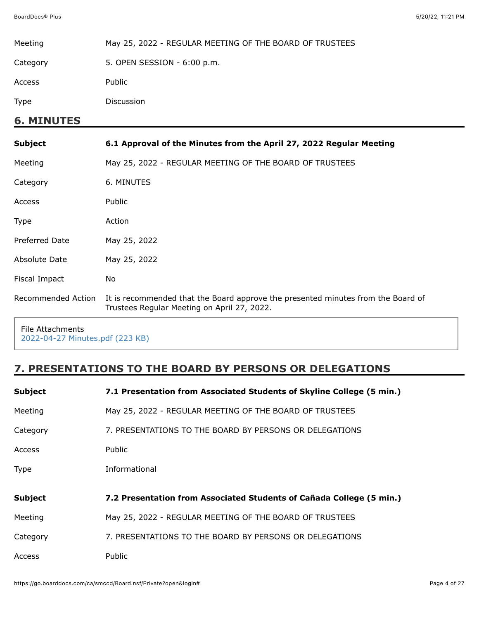| Meeting            | May 25, 2022 - REGULAR MEETING OF THE BOARD OF TRUSTEES                                                                         |
|--------------------|---------------------------------------------------------------------------------------------------------------------------------|
| Category           | 5. OPEN SESSION - 6:00 p.m.                                                                                                     |
| Access             | Public                                                                                                                          |
| Type               | Discussion                                                                                                                      |
| <b>6. MINUTES</b>  |                                                                                                                                 |
| Subject            | 6.1 Approval of the Minutes from the April 27, 2022 Regular Meeting                                                             |
| Meeting            | May 25, 2022 - REGULAR MEETING OF THE BOARD OF TRUSTEES                                                                         |
| Category           | 6. MINUTES                                                                                                                      |
| Access             | Public                                                                                                                          |
| Type               | Action                                                                                                                          |
| Preferred Date     | May 25, 2022                                                                                                                    |
| Absolute Date      | May 25, 2022                                                                                                                    |
| Fiscal Impact      | No.                                                                                                                             |
| Recommended Action | It is recommended that the Board approve the presented minutes from the Board of<br>Trustees Regular Meeting on April 27, 2022. |

File Attachments [2022-04-27 Minutes.pdf \(223 KB\)](https://go.boarddocs.com/ca/smccd/Board.nsf/files/CEM9F722BCE6/$file/2022-04-27%20Minutes.pdf)

# **7. PRESENTATIONS TO THE BOARD BY PERSONS OR DELEGATIONS**

| <b>Subject</b> | 7.1 Presentation from Associated Students of Skyline College (5 min.) |
|----------------|-----------------------------------------------------------------------|
| Meeting        | May 25, 2022 - REGULAR MEETING OF THE BOARD OF TRUSTEES               |
| Category       | 7. PRESENTATIONS TO THE BOARD BY PERSONS OR DELEGATIONS               |
| Access         | Public                                                                |
| Type           | Informational                                                         |
| <b>Subject</b> | 7.2 Presentation from Associated Students of Cañada College (5 min.)  |
| Meeting        | May 25, 2022 - REGULAR MEETING OF THE BOARD OF TRUSTEES               |
| Category       | 7. PRESENTATIONS TO THE BOARD BY PERSONS OR DELEGATIONS               |
| Access         |                                                                       |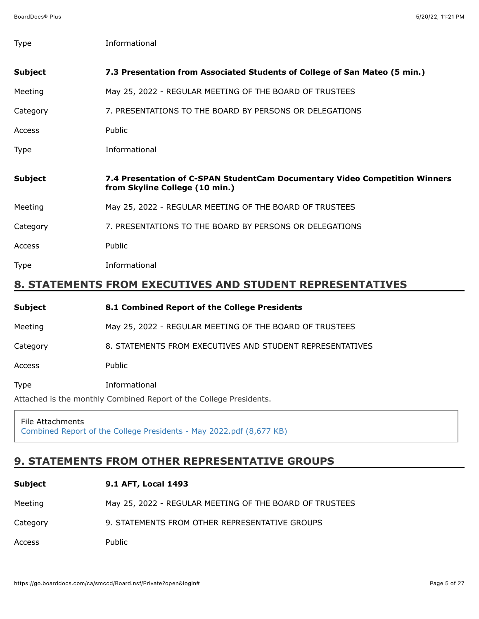| <b>Type</b>    | Informational                                                                                                 |
|----------------|---------------------------------------------------------------------------------------------------------------|
| <b>Subject</b> | 7.3 Presentation from Associated Students of College of San Mateo (5 min.)                                    |
| Meeting        | May 25, 2022 - REGULAR MEETING OF THE BOARD OF TRUSTEES                                                       |
| Category       | 7. PRESENTATIONS TO THE BOARD BY PERSONS OR DELEGATIONS                                                       |
| Access         | Public                                                                                                        |
| <b>Type</b>    | Informational                                                                                                 |
| <b>Subject</b> | 7.4 Presentation of C-SPAN StudentCam Documentary Video Competition Winners<br>from Skyline College (10 min.) |
| Meeting        | May 25, 2022 - REGULAR MEETING OF THE BOARD OF TRUSTEES                                                       |
| Category       | 7. PRESENTATIONS TO THE BOARD BY PERSONS OR DELEGATIONS                                                       |
| Access         | Public                                                                                                        |
| Type           | Informational                                                                                                 |
|                | 8. STATEMENTS FROM EXECUTIVES AND STUDENT REPRESENTATIVES                                                     |

| Subject                                                            | 8.1 Combined Report of the College Presidents             |
|--------------------------------------------------------------------|-----------------------------------------------------------|
| Meeting                                                            | May 25, 2022 - REGULAR MEETING OF THE BOARD OF TRUSTEES   |
| Category                                                           | 8. STATEMENTS FROM EXECUTIVES AND STUDENT REPRESENTATIVES |
| Access                                                             | Public                                                    |
| Type                                                               | Informational                                             |
| Attached is the monthly Combined Report of the College Presidents. |                                                           |

File Attachments [Combined Report of the College Presidents - May 2022.pdf \(8,677 KB\)](https://go.boarddocs.com/ca/smccd/Board.nsf/files/CELUFF7BD039/$file/Combined%20Report%20of%20the%20College%20Presidents%20-%20May%202022.pdf)

# **9. STATEMENTS FROM OTHER REPRESENTATIVE GROUPS**

| Subject  | 9.1 AFT, Local 1493                                     |
|----------|---------------------------------------------------------|
| Meeting  | May 25, 2022 - REGULAR MEETING OF THE BOARD OF TRUSTEES |
| Category | 9. STATEMENTS FROM OTHER REPRESENTATIVE GROUPS          |
| Access   | Public                                                  |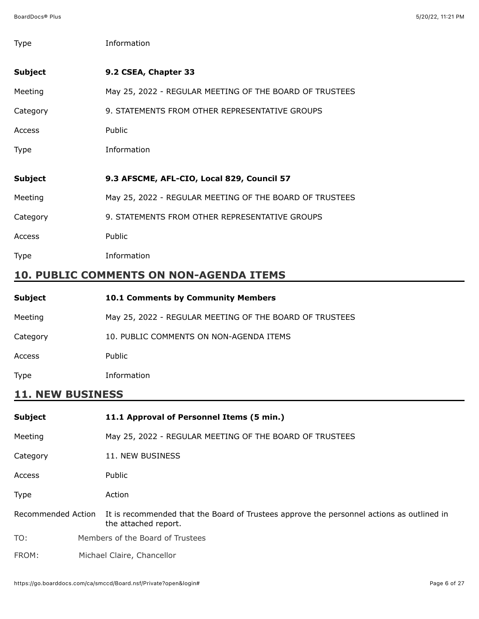| Type           | Information                                             |
|----------------|---------------------------------------------------------|
| <b>Subject</b> | 9.2 CSEA, Chapter 33                                    |
| Meeting        | May 25, 2022 - REGULAR MEETING OF THE BOARD OF TRUSTEES |
| Category       | 9. STATEMENTS FROM OTHER REPRESENTATIVE GROUPS          |
| Access         | Public                                                  |
| Type           | Information                                             |
| <b>Subject</b> | 9.3 AFSCME, AFL-CIO, Local 829, Council 57              |
| Meeting        | May 25, 2022 - REGULAR MEETING OF THE BOARD OF TRUSTEES |
| Category       | 9. STATEMENTS FROM OTHER REPRESENTATIVE GROUPS          |
| Access         | Public                                                  |
| Type           | Information                                             |

# **10. PUBLIC COMMENTS ON NON-AGENDA ITEMS**

| Subject  | <b>10.1 Comments by Community Members</b>               |
|----------|---------------------------------------------------------|
| Meeting  | May 25, 2022 - REGULAR MEETING OF THE BOARD OF TRUSTEES |
| Category | 10. PUBLIC COMMENTS ON NON-AGENDA ITEMS                 |
| Access   | Public                                                  |
| Type     | Information                                             |

# **11. NEW BUSINESS**

| <b>Subject</b> | 11.1 Approval of Personnel Items (5 min.)                                                                                            |
|----------------|--------------------------------------------------------------------------------------------------------------------------------------|
| Meeting        | May 25, 2022 - REGULAR MEETING OF THE BOARD OF TRUSTEES                                                                              |
| Category       | 11. NEW BUSINESS                                                                                                                     |
| Access         | Public                                                                                                                               |
| Type           | Action                                                                                                                               |
|                | Recommended Action It is recommended that the Board of Trustees approve the personnel actions as outlined in<br>the attached report. |
| TO:            | Members of the Board of Trustees                                                                                                     |
| FROM:          | Michael Claire, Chancellor                                                                                                           |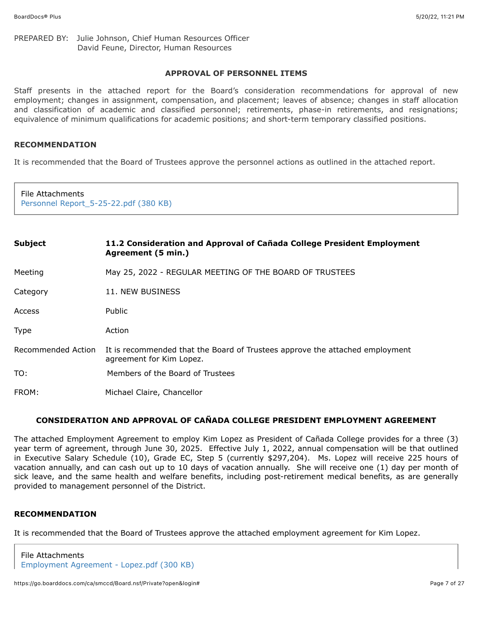#### PREPARED BY: Julie Johnson, Chief Human Resources Officer David Feune, Director, Human Resources

### **APPROVAL OF PERSONNEL ITEMS**

Staff presents in the attached report for the Board's consideration recommendations for approval of new employment; changes in assignment, compensation, and placement; leaves of absence; changes in staff allocation and classification of academic and classified personnel; retirements, phase-in retirements, and resignations; equivalence of minimum qualifications for academic positions; and short-term temporary classified positions.

#### **RECOMMENDATION**

It is recommended that the Board of Trustees approve the personnel actions as outlined in the attached report.

| File Attachments<br>Personnel Report_5-25-22.pdf (380 KB) |                                                                                                          |
|-----------------------------------------------------------|----------------------------------------------------------------------------------------------------------|
| <b>Subject</b>                                            | 11.2 Consideration and Approval of Cañada College President Employment<br>Agreement (5 min.)             |
| Meeting                                                   | May 25, 2022 - REGULAR MEETING OF THE BOARD OF TRUSTEES                                                  |
| Category                                                  | 11. NEW BUSINESS                                                                                         |
| Access                                                    | Public                                                                                                   |
| <b>Type</b>                                               | Action                                                                                                   |
| Recommended Action                                        | It is recommended that the Board of Trustees approve the attached employment<br>agreement for Kim Lopez. |
| TO:                                                       | Members of the Board of Trustees                                                                         |
| FROM:                                                     | Michael Claire, Chancellor                                                                               |

# **CONSIDERATION AND APPROVAL OF CAÑADA COLLEGE PRESIDENT EMPLOYMENT AGREEMENT**

The attached Employment Agreement to employ Kim Lopez as President of Cañada College provides for a three (3) year term of agreement, through June 30, 2025. Effective July 1, 2022, annual compensation will be that outlined in Executive Salary Schedule (10), Grade EC, Step 5 (currently \$297,204). Ms. Lopez will receive 225 hours of vacation annually, and can cash out up to 10 days of vacation annually. She will receive one (1) day per month of sick leave, and the same health and welfare benefits, including post-retirement medical benefits, as are generally provided to management personnel of the District.

#### **RECOMMENDATION**

It is recommended that the Board of Trustees approve the attached employment agreement for Kim Lopez.

File Attachments [Employment Agreement - Lopez.pdf \(300 KB\)](https://go.boarddocs.com/ca/smccd/Board.nsf/files/CELVNS819706/$file/Employment%20Agreement%20-%20Lopez.pdf)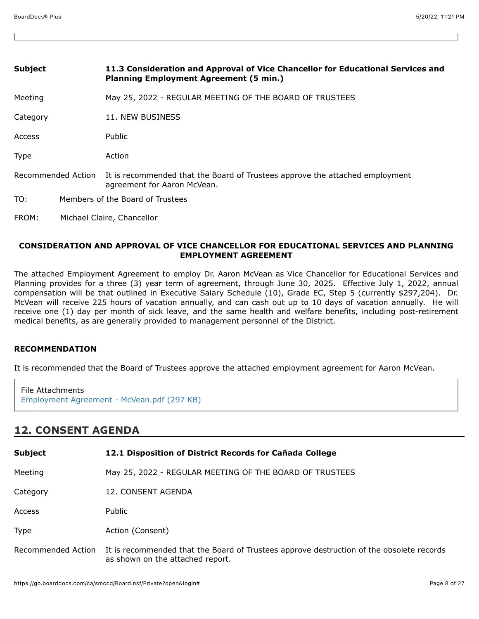| <b>Subject</b>     | 11.3 Consideration and Approval of Vice Chancellor for Educational Services and<br><b>Planning Employment Agreement (5 min.)</b> |
|--------------------|----------------------------------------------------------------------------------------------------------------------------------|
| Meeting            | May 25, 2022 - REGULAR MEETING OF THE BOARD OF TRUSTEES                                                                          |
| Category           | 11. NEW BUSINESS                                                                                                                 |
| Access             | Public                                                                                                                           |
| <b>Type</b>        | Action                                                                                                                           |
| Recommended Action | It is recommended that the Board of Trustees approve the attached employment<br>agreement for Aaron McVean.                      |
| TO:                | Members of the Board of Trustees                                                                                                 |
| FROM:              | Michael Claire, Chancellor                                                                                                       |

### **CONSIDERATION AND APPROVAL OF VICE CHANCELLOR FOR EDUCATIONAL SERVICES AND PLANNING EMPLOYMENT AGREEMENT**

The attached Employment Agreement to employ Dr. Aaron McVean as Vice Chancellor for Educational Services and Planning provides for a three (3) year term of agreement, through June 30, 2025. Effective July 1, 2022, annual compensation will be that outlined in Executive Salary Schedule (10), Grade EC, Step 5 (currently \$297,204). Dr. McVean will receive 225 hours of vacation annually, and can cash out up to 10 days of vacation annually. He will receive one (1) day per month of sick leave, and the same health and welfare benefits, including post-retirement medical benefits, as are generally provided to management personnel of the District.

### **RECOMMENDATION**

It is recommended that the Board of Trustees approve the attached employment agreement for Aaron McVean.

| File Attachments                           |  |
|--------------------------------------------|--|
| Employment Agreement - McVean.pdf (297 KB) |  |

# **12. CONSENT AGENDA**

| <b>Subject</b>     | 12.1 Disposition of District Records for Cañada College                                                                      |
|--------------------|------------------------------------------------------------------------------------------------------------------------------|
| Meeting            | May 25, 2022 - REGULAR MEETING OF THE BOARD OF TRUSTEES                                                                      |
| Category           | 12. CONSENT AGENDA                                                                                                           |
| Access             | Public                                                                                                                       |
| Type               | Action (Consent)                                                                                                             |
| Recommended Action | It is recommended that the Board of Trustees approve destruction of the obsolete records<br>as shown on the attached report. |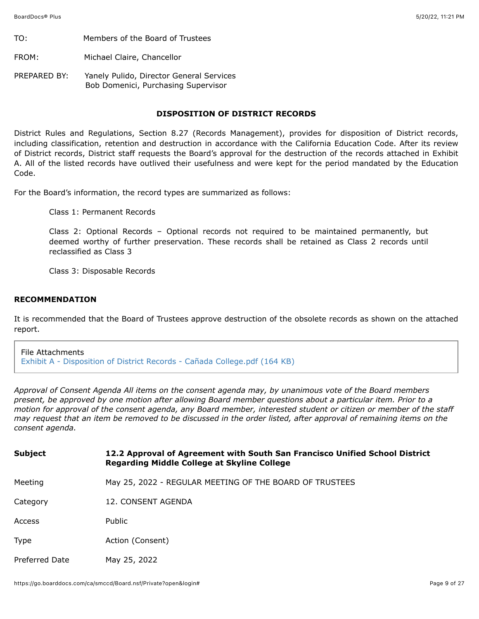TO: Members of the Board of Trustees

FROM: Michael Claire, Chancellor

PREPARED BY: Yanely Pulido, Director General Services Bob Domenici, Purchasing Supervisor

# **DISPOSITION OF DISTRICT RECORDS**

District Rules and Regulations, Section 8.27 (Records Management), provides for disposition of District records, including classification, retention and destruction in accordance with the California Education Code. After its review of District records, District staff requests the Board's approval for the destruction of the records attached in Exhibit A. All of the listed records have outlived their usefulness and were kept for the period mandated by the Education Code.

For the Board's information, the record types are summarized as follows:

Class 1: Permanent Records

Class 2: Optional Records – Optional records not required to be maintained permanently, but deemed worthy of further preservation. These records shall be retained as Class 2 records until reclassified as Class 3

Class 3: Disposable Records

### **RECOMMENDATION**

It is recommended that the Board of Trustees approve destruction of the obsolete records as shown on the attached report.

File Attachments [Exhibit A - Disposition of District Records - Cañada College.pdf \(164 KB\)](https://go.boarddocs.com/ca/smccd/Board.nsf/files/CEKU3W7A2610/$file/Exhibit%20A%20-%20Disposition%20of%20District%20Records%20-%20Ca%C3%B1ada%20College.pdf)

*Approval of Consent Agenda All items on the consent agenda may, by unanimous vote of the Board members present, be approved by one motion after allowing Board member questions about a particular item. Prior to a motion for approval of the consent agenda, any Board member, interested student or citizen or member of the staff may request that an item be removed to be discussed in the order listed, after approval of remaining items on the consent agenda.*

| <b>Subject</b> | 12.2 Approval of Agreement with South San Francisco Unified School District<br><b>Regarding Middle College at Skyline College</b> |
|----------------|-----------------------------------------------------------------------------------------------------------------------------------|
| Meeting        | May 25, 2022 - REGULAR MEETING OF THE BOARD OF TRUSTEES                                                                           |
| Category       | 12. CONSENT AGENDA                                                                                                                |
| Access         | Public                                                                                                                            |
| Type           | Action (Consent)                                                                                                                  |
| Preferred Date | May 25, 2022                                                                                                                      |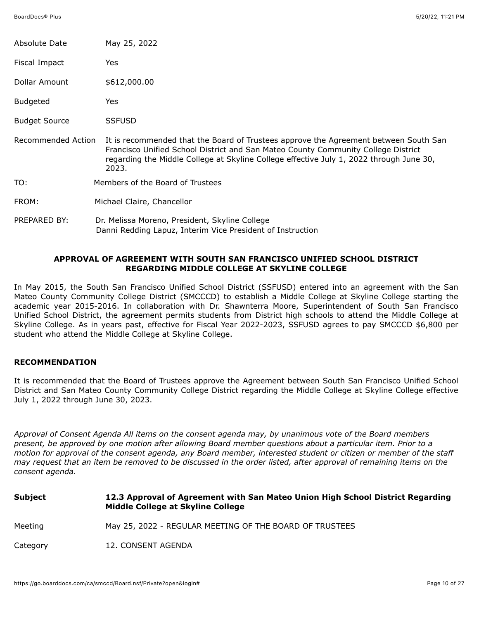| Absolute Date             | May 25, 2022                                                                                                                                                                                                                                                                  |
|---------------------------|-------------------------------------------------------------------------------------------------------------------------------------------------------------------------------------------------------------------------------------------------------------------------------|
| Fiscal Impact             | Yes                                                                                                                                                                                                                                                                           |
| Dollar Amount             | \$612,000.00                                                                                                                                                                                                                                                                  |
| <b>Budgeted</b>           | Yes                                                                                                                                                                                                                                                                           |
| <b>Budget Source</b>      | <b>SSFUSD</b>                                                                                                                                                                                                                                                                 |
| <b>Recommended Action</b> | It is recommended that the Board of Trustees approve the Agreement between South San<br>Francisco Unified School District and San Mateo County Community College District<br>regarding the Middle College at Skyline College effective July 1, 2022 through June 30,<br>2023. |
| TO:                       | Members of the Board of Trustees                                                                                                                                                                                                                                              |
| FROM:                     | Michael Claire, Chancellor                                                                                                                                                                                                                                                    |
| PREPARED BY:              | Dr. Melissa Moreno, President, Skyline College<br>Danni Redding Lapuz, Interim Vice President of Instruction                                                                                                                                                                  |

# **APPROVAL OF AGREEMENT WITH SOUTH SAN FRANCISCO UNIFIED SCHOOL DISTRICT REGARDING MIDDLE COLLEGE AT SKYLINE COLLEGE**

In May 2015, the South San Francisco Unified School District (SSFUSD) entered into an agreement with the San Mateo County Community College District (SMCCCD) to establish a Middle College at Skyline College starting the academic year 2015-2016. In collaboration with Dr. Shawnterra Moore, Superintendent of South San Francisco Unified School District, the agreement permits students from District high schools to attend the Middle College at Skyline College. As in years past, effective for Fiscal Year 2022-2023, SSFUSD agrees to pay SMCCCD \$6,800 per student who attend the Middle College at Skyline College.

### **RECOMMENDATION**

It is recommended that the Board of Trustees approve the Agreement between South San Francisco Unified School District and San Mateo County Community College District regarding the Middle College at Skyline College effective July 1, 2022 through June 30, 2023.

*Approval of Consent Agenda All items on the consent agenda may, by unanimous vote of the Board members present, be approved by one motion after allowing Board member questions about a particular item. Prior to a motion for approval of the consent agenda, any Board member, interested student or citizen or member of the staff may request that an item be removed to be discussed in the order listed, after approval of remaining items on the consent agenda.*

| Subject  | 12.3 Approval of Agreement with San Mateo Union High School District Regarding<br>Middle College at Skyline College |
|----------|---------------------------------------------------------------------------------------------------------------------|
| Meeting  | May 25, 2022 - REGULAR MEETING OF THE BOARD OF TRUSTEES                                                             |
| Category | 12. CONSENT AGENDA                                                                                                  |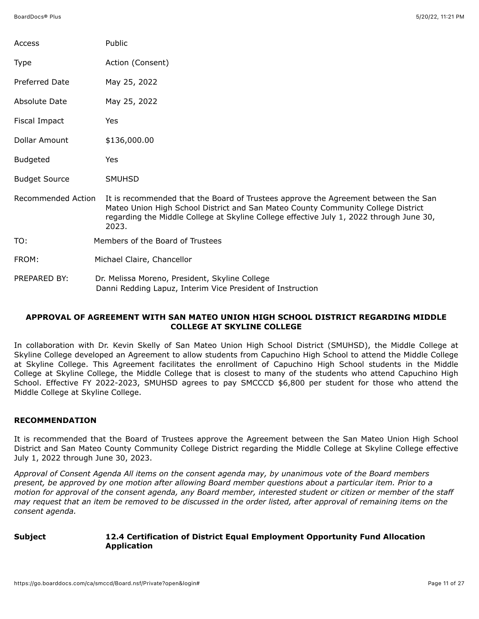| Access                    | Public                                                                                                                                                                                                                                                                     |
|---------------------------|----------------------------------------------------------------------------------------------------------------------------------------------------------------------------------------------------------------------------------------------------------------------------|
| Type                      | Action (Consent)                                                                                                                                                                                                                                                           |
| Preferred Date            | May 25, 2022                                                                                                                                                                                                                                                               |
| Absolute Date             | May 25, 2022                                                                                                                                                                                                                                                               |
| Fiscal Impact             | Yes                                                                                                                                                                                                                                                                        |
| Dollar Amount             | \$136,000.00                                                                                                                                                                                                                                                               |
| <b>Budgeted</b>           | Yes                                                                                                                                                                                                                                                                        |
| <b>Budget Source</b>      | <b>SMUHSD</b>                                                                                                                                                                                                                                                              |
| <b>Recommended Action</b> | It is recommended that the Board of Trustees approve the Agreement between the San<br>Mateo Union High School District and San Mateo County Community College District<br>regarding the Middle College at Skyline College effective July 1, 2022 through June 30,<br>2023. |
| TO:                       | Members of the Board of Trustees                                                                                                                                                                                                                                           |
| FROM:                     | Michael Claire, Chancellor                                                                                                                                                                                                                                                 |
| PREPARED BY:              | Dr. Melissa Moreno, President, Skyline College<br>Danni Redding Lapuz, Interim Vice President of Instruction                                                                                                                                                               |

## **APPROVAL OF AGREEMENT WITH SAN MATEO UNION HIGH SCHOOL DISTRICT REGARDING MIDDLE COLLEGE AT SKYLINE COLLEGE**

In collaboration with Dr. Kevin Skelly of San Mateo Union High School District (SMUHSD), the Middle College at Skyline College developed an Agreement to allow students from Capuchino High School to attend the Middle College at Skyline College. This Agreement facilitates the enrollment of Capuchino High School students in the Middle College at Skyline College, the Middle College that is closest to many of the students who attend Capuchino High School. Effective FY 2022-2023, SMUHSD agrees to pay SMCCCD \$6,800 per student for those who attend the Middle College at Skyline College.

# **RECOMMENDATION**

It is recommended that the Board of Trustees approve the Agreement between the San Mateo Union High School District and San Mateo County Community College District regarding the Middle College at Skyline College effective July 1, 2022 through June 30, 2023.

*Approval of Consent Agenda All items on the consent agenda may, by unanimous vote of the Board members present, be approved by one motion after allowing Board member questions about a particular item. Prior to a motion for approval of the consent agenda, any Board member, interested student or citizen or member of the staff may request that an item be removed to be discussed in the order listed, after approval of remaining items on the consent agenda.*

# **Subject 12.4 Certification of District Equal Employment Opportunity Fund Allocation Application**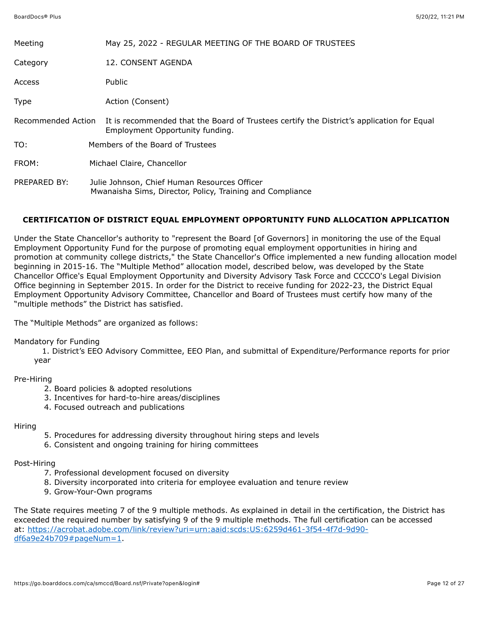| Meeting                   | May 25, 2022 - REGULAR MEETING OF THE BOARD OF TRUSTEES                                                                      |
|---------------------------|------------------------------------------------------------------------------------------------------------------------------|
| Category                  | 12. CONSENT AGENDA                                                                                                           |
| Access                    | <b>Public</b>                                                                                                                |
| Type                      | Action (Consent)                                                                                                             |
| <b>Recommended Action</b> | It is recommended that the Board of Trustees certify the District's application for Equal<br>Employment Opportunity funding. |
| TO:                       | Members of the Board of Trustees                                                                                             |
| FROM:                     | Michael Claire, Chancellor                                                                                                   |
| PREPARED BY:              | Julie Johnson, Chief Human Resources Officer<br>Mwanaisha Sims, Director, Policy, Training and Compliance                    |

# **CERTIFICATION OF DISTRICT EQUAL EMPLOYMENT OPPORTUNITY FUND ALLOCATION APPLICATION**

Under the State Chancellor's authority to "represent the Board [of Governors] in monitoring the use of the Equal Employment Opportunity Fund for the purpose of promoting equal employment opportunities in hiring and promotion at community college districts," the State Chancellor's Office implemented a new funding allocation model beginning in 2015-16. The "Multiple Method" allocation model, described below, was developed by the State Chancellor Office's Equal Employment Opportunity and Diversity Advisory Task Force and CCCCO's Legal Division Office beginning in September 2015. In order for the District to receive funding for 2022-23, the District Equal Employment Opportunity Advisory Committee, Chancellor and Board of Trustees must certify how many of the "multiple methods" the District has satisfied.

The "Multiple Methods" are organized as follows:

#### Mandatory for Funding

 1. District's EEO Advisory Committee, EEO Plan, and submittal of Expenditure/Performance reports for prior year

### Pre-Hiring

- 2. Board policies & adopted resolutions
- 3. Incentives for hard-to-hire areas/disciplines
- 4. Focused outreach and publications

### Hiring

- 5. Procedures for addressing diversity throughout hiring steps and levels
- 6. Consistent and ongoing training for hiring committees

### Post-Hiring

- 7. Professional development focused on diversity
- 8. Diversity incorporated into criteria for employee evaluation and tenure review
- 9. Grow-Your-Own programs

The State requires meeting 7 of the 9 multiple methods. As explained in detail in the certification, the District has exceeded the required number by satisfying 9 of the 9 multiple methods. The full certification can be accessed [at: https://acrobat.adobe.com/link/review?uri=urn:aaid:scds:US:6259d461-3f54-4f7d-9d90](https://acrobat.adobe.com/link/track?uri=urn:aaid:scds:US:e860b476-efa6-4eb7-9fd4-d00b4eba6607)  $df6a9e24b709#pageNum=1.$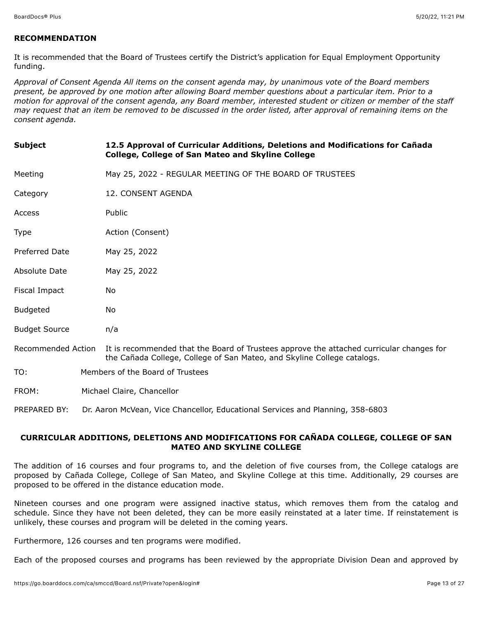# **RECOMMENDATION**

It is recommended that the Board of Trustees certify the District's application for Equal Employment Opportunity funding.

*Approval of Consent Agenda All items on the consent agenda may, by unanimous vote of the Board members present, be approved by one motion after allowing Board member questions about a particular item. Prior to a motion for approval of the consent agenda, any Board member, interested student or citizen or member of the staff may request that an item be removed to be discussed in the order listed, after approval of remaining items on the consent agenda.*

| <b>Subject</b>       | 12.5 Approval of Curricular Additions, Deletions and Modifications for Cañada<br>College, College of San Mateo and Skyline College                                  |
|----------------------|---------------------------------------------------------------------------------------------------------------------------------------------------------------------|
| Meeting              | May 25, 2022 - REGULAR MEETING OF THE BOARD OF TRUSTEES                                                                                                             |
| Category             | 12. CONSENT AGENDA                                                                                                                                                  |
| Access               | Public                                                                                                                                                              |
| Type                 | Action (Consent)                                                                                                                                                    |
| Preferred Date       | May 25, 2022                                                                                                                                                        |
| Absolute Date        | May 25, 2022                                                                                                                                                        |
| Fiscal Impact        | No.                                                                                                                                                                 |
| <b>Budgeted</b>      | No.                                                                                                                                                                 |
| <b>Budget Source</b> | n/a                                                                                                                                                                 |
| Recommended Action   | It is recommended that the Board of Trustees approve the attached curricular changes for<br>the Cañada College, College of San Mateo, and Skyline College catalogs. |
| TO:                  | Members of the Board of Trustees                                                                                                                                    |
| FROM:                | Michael Claire, Chancellor                                                                                                                                          |

PREPARED BY: Dr. Aaron McVean, Vice Chancellor, Educational Services and Planning, 358-6803

## **CURRICULAR ADDITIONS, DELETIONS AND MODIFICATIONS FOR CAÑADA COLLEGE, COLLEGE OF SAN MATEO AND SKYLINE COLLEGE**

The addition of 16 courses and four programs to, and the deletion of five courses from, the College catalogs are proposed by Cañada College, College of San Mateo, and Skyline College at this time. Additionally, 29 courses are proposed to be offered in the distance education mode.

Nineteen courses and one program were assigned inactive status, which removes them from the catalog and schedule. Since they have not been deleted, they can be more easily reinstated at a later time. If reinstatement is unlikely, these courses and program will be deleted in the coming years.

Furthermore, 126 courses and ten programs were modified.

Each of the proposed courses and programs has been reviewed by the appropriate Division Dean and approved by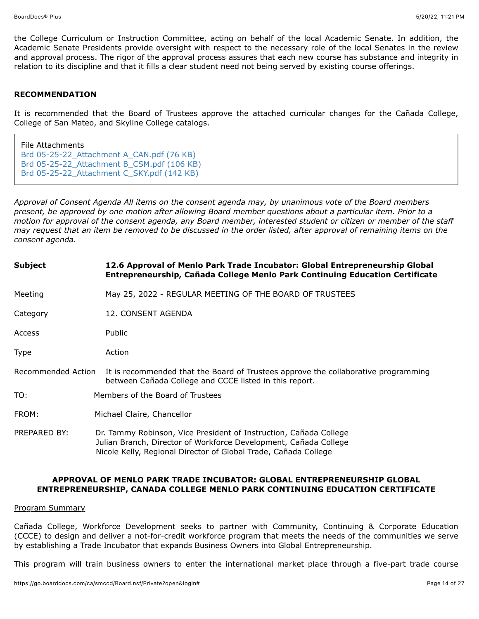the College Curriculum or Instruction Committee, acting on behalf of the local Academic Senate. In addition, the Academic Senate Presidents provide oversight with respect to the necessary role of the local Senates in the review and approval process. The rigor of the approval process assures that each new course has substance and integrity in relation to its discipline and that it fills a clear student need not being served by existing course offerings.

# **RECOMMENDATION**

It is recommended that the Board of Trustees approve the attached curricular changes for the Cañada College, College of San Mateo, and Skyline College catalogs.

| File Attachments                           |
|--------------------------------------------|
| Brd 05-25-22 Attachment A CAN.pdf (76 KB)  |
| Brd 05-25-22_Attachment B_CSM.pdf (106 KB) |
| Brd 05-25-22_Attachment C_SKY.pdf (142 KB) |

*Approval of Consent Agenda All items on the consent agenda may, by unanimous vote of the Board members present, be approved by one motion after allowing Board member questions about a particular item. Prior to a motion for approval of the consent agenda, any Board member, interested student or citizen or member of the staff may request that an item be removed to be discussed in the order listed, after approval of remaining items on the consent agenda.*

| Subject            | 12.6 Approval of Menlo Park Trade Incubator: Global Entrepreneurship Global<br>Entrepreneurship, Cañada College Menlo Park Continuing Education Certificate                                              |
|--------------------|----------------------------------------------------------------------------------------------------------------------------------------------------------------------------------------------------------|
| Meeting            | May 25, 2022 - REGULAR MEETING OF THE BOARD OF TRUSTEES                                                                                                                                                  |
| Category           | 12. CONSENT AGENDA                                                                                                                                                                                       |
| Access             | Public                                                                                                                                                                                                   |
| Type               | Action                                                                                                                                                                                                   |
| Recommended Action | It is recommended that the Board of Trustees approve the collaborative programming<br>between Cañada College and CCCE listed in this report.                                                             |
| TO:                | Members of the Board of Trustees                                                                                                                                                                         |
| FROM:              | Michael Claire, Chancellor                                                                                                                                                                               |
| PREPARED BY:       | Dr. Tammy Robinson, Vice President of Instruction, Cañada College<br>Julian Branch, Director of Workforce Development, Cañada College<br>Nicole Kelly, Regional Director of Global Trade, Cañada College |

### **APPROVAL OF MENLO PARK TRADE INCUBATOR: GLOBAL ENTREPRENEURSHIP GLOBAL ENTREPRENEURSHIP, CANADA COLLEGE MENLO PARK CONTINUING EDUCATION CERTIFICATE**

#### Program Summary

Cañada College, Workforce Development seeks to partner with Community, Continuing & Corporate Education (CCCE) to design and deliver a not-for-credit workforce program that meets the needs of the communities we serve by establishing a Trade Incubator that expands Business Owners into Global Entrepreneurship.

This program will train business owners to enter the international market place through a five-part trade course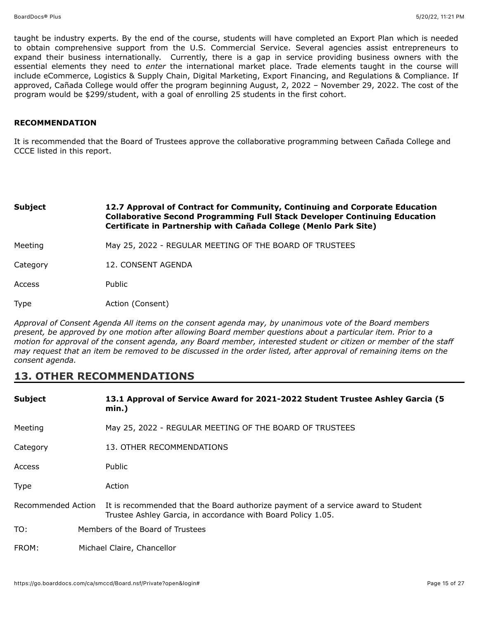taught be industry experts. By the end of the course, students will have completed an Export Plan which is needed to obtain comprehensive support from the U.S. Commercial Service. Several agencies assist entrepreneurs to expand their business internationally. Currently, there is a gap in service providing business owners with the essential elements they need to *enter* the international market place. Trade elements taught in the course will include eCommerce, Logistics & Supply Chain, Digital Marketing, Export Financing, and Regulations & Compliance. If approved, Cañada College would offer the program beginning August, 2, 2022 – November 29, 2022. The cost of the program would be \$299/student, with a goal of enrolling 25 students in the first cohort.

#### **RECOMMENDATION**

It is recommended that the Board of Trustees approve the collaborative programming between Cañada College and CCCE listed in this report.

# **Subject 12.7 Approval of Contract for Community, Continuing and Corporate Education Collaborative Second Programming Full Stack Developer Continuing Education Certificate in Partnership with Cañada College (Menlo Park Site)** Meeting **May 25, 2022 - REGULAR MEETING OF THE BOARD OF TRUSTEES** Category 12. CONSENT AGENDA Access Public Type **Action** (Consent)

*Approval of Consent Agenda All items on the consent agenda may, by unanimous vote of the Board members present, be approved by one motion after allowing Board member questions about a particular item. Prior to a motion for approval of the consent agenda, any Board member, interested student or citizen or member of the staff may request that an item be removed to be discussed in the order listed, after approval of remaining items on the consent agenda.*

# **13. OTHER RECOMMENDATIONS**

| <b>Subject</b> | 13.1 Approval of Service Award for 2021-2022 Student Trustee Ashley Garcia (5<br>$min.$ )                                                                           |
|----------------|---------------------------------------------------------------------------------------------------------------------------------------------------------------------|
| Meeting        | May 25, 2022 - REGULAR MEETING OF THE BOARD OF TRUSTEES                                                                                                             |
| Category       | 13. OTHER RECOMMENDATIONS                                                                                                                                           |
| Access         | Public                                                                                                                                                              |
| <b>Type</b>    | Action                                                                                                                                                              |
|                | Recommended Action It is recommended that the Board authorize payment of a service award to Student<br>Trustee Ashley Garcia, in accordance with Board Policy 1.05. |
| TO:            | Members of the Board of Trustees                                                                                                                                    |
| FROM:          | Michael Claire, Chancellor                                                                                                                                          |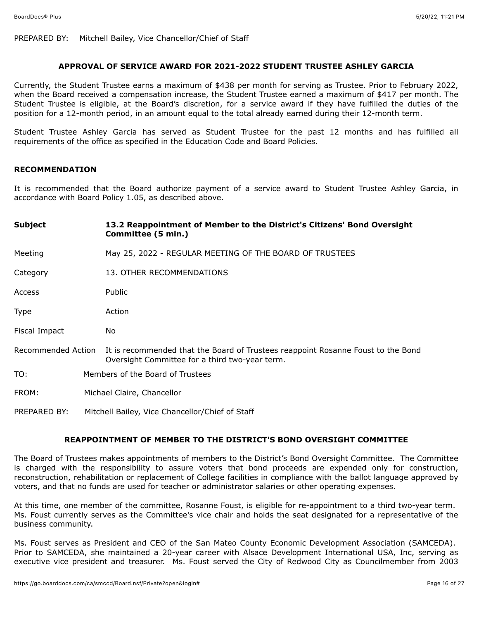PREPARED BY: Mitchell Bailey, Vice Chancellor/Chief of Staff

### **APPROVAL OF SERVICE AWARD FOR 2021-2022 STUDENT TRUSTEE ASHLEY GARCIA**

Currently, the Student Trustee earns a maximum of \$438 per month for serving as Trustee. Prior to February 2022, when the Board received a compensation increase, the Student Trustee earned a maximum of \$417 per month. The Student Trustee is eligible, at the Board's discretion, for a service award if they have fulfilled the duties of the position for a 12-month period, in an amount equal to the total already earned during their 12-month term.

Student Trustee Ashley Garcia has served as Student Trustee for the past 12 months and has fulfilled all requirements of the office as specified in the Education Code and Board Policies.

#### **RECOMMENDATION**

It is recommended that the Board authorize payment of a service award to Student Trustee Ashley Garcia, in accordance with Board Policy 1.05, as described above.

| <b>Subject</b>     | 13.2 Reappointment of Member to the District's Citizens' Bond Oversight<br>Committee (5 min.)                                      |
|--------------------|------------------------------------------------------------------------------------------------------------------------------------|
| Meeting            | May 25, 2022 - REGULAR MEETING OF THE BOARD OF TRUSTEES                                                                            |
| Category           | 13. OTHER RECOMMENDATIONS                                                                                                          |
| Access             | Public                                                                                                                             |
| <b>Type</b>        | Action                                                                                                                             |
| Fiscal Impact      | No.                                                                                                                                |
| Recommended Action | It is recommended that the Board of Trustees reappoint Rosanne Foust to the Bond<br>Oversight Committee for a third two-year term. |
| TO:                | Members of the Board of Trustees                                                                                                   |
| FROM:              | Michael Claire, Chancellor                                                                                                         |
| PREPARED BY:       | Mitchell Bailey, Vice Chancellor/Chief of Staff                                                                                    |

#### **REAPPOINTMENT OF MEMBER TO THE DISTRICT'S BOND OVERSIGHT COMMITTEE**

The Board of Trustees makes appointments of members to the District's Bond Oversight Committee. The Committee is charged with the responsibility to assure voters that bond proceeds are expended only for construction, reconstruction, rehabilitation or replacement of College facilities in compliance with the ballot language approved by voters, and that no funds are used for teacher or administrator salaries or other operating expenses.

At this time, one member of the committee, Rosanne Foust, is eligible for re-appointment to a third two-year term. Ms. Foust currently serves as the Committee's vice chair and holds the seat designated for a representative of the business community.

Ms. Foust serves as President and CEO of the San Mateo County Economic Development Association (SAMCEDA). Prior to SAMCEDA, she maintained a 20-year career with Alsace Development International USA, Inc, serving as executive vice president and treasurer. Ms. Foust served the City of Redwood City as Councilmember from 2003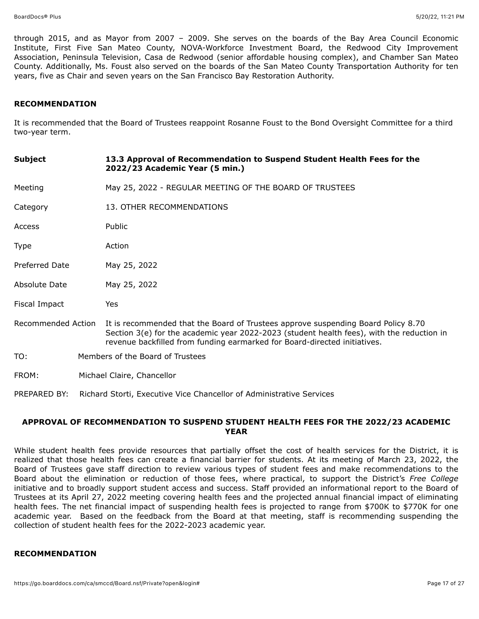through 2015, and as Mayor from 2007 – 2009. She serves on the boards of the Bay Area Council Economic Institute, First Five San Mateo County, NOVA-Workforce Investment Board, the Redwood City Improvement Association, Peninsula Television, Casa de Redwood (senior affordable housing complex), and Chamber San Mateo County. Additionally, Ms. Foust also served on the boards of the San Mateo County Transportation Authority for ten years, five as Chair and seven years on the San Francisco Bay Restoration Authority.

#### **RECOMMENDATION**

It is recommended that the Board of Trustees reappoint Rosanne Foust to the Bond Oversight Committee for a third two-year term.

| <b>Subject</b>     | 13.3 Approval of Recommendation to Suspend Student Health Fees for the<br>2022/23 Academic Year (5 min.)                                                                                                                                                    |
|--------------------|-------------------------------------------------------------------------------------------------------------------------------------------------------------------------------------------------------------------------------------------------------------|
| Meeting            | May 25, 2022 - REGULAR MEETING OF THE BOARD OF TRUSTEES                                                                                                                                                                                                     |
| Category           | 13. OTHER RECOMMENDATIONS                                                                                                                                                                                                                                   |
| Access             | Public                                                                                                                                                                                                                                                      |
| Type               | Action                                                                                                                                                                                                                                                      |
| Preferred Date     | May 25, 2022                                                                                                                                                                                                                                                |
| Absolute Date      | May 25, 2022                                                                                                                                                                                                                                                |
| Fiscal Impact      | Yes                                                                                                                                                                                                                                                         |
| Recommended Action | It is recommended that the Board of Trustees approve suspending Board Policy 8.70<br>Section 3(e) for the academic year 2022-2023 (student health fees), with the reduction in<br>revenue backfilled from funding earmarked for Board-directed initiatives. |
| TO:                | Members of the Board of Trustees                                                                                                                                                                                                                            |
| FROM:              | Michael Claire, Chancellor                                                                                                                                                                                                                                  |
| PREPARED BY:       | Richard Storti, Executive Vice Chancellor of Administrative Services                                                                                                                                                                                        |

### **APPROVAL OF RECOMMENDATION TO SUSPEND STUDENT HEALTH FEES FOR THE 2022/23 ACADEMIC YEAR**

While student health fees provide resources that partially offset the cost of health services for the District, it is realized that those health fees can create a financial barrier for students. At its meeting of March 23, 2022, the Board of Trustees gave staff direction to review various types of student fees and make recommendations to the Board about the elimination or reduction of those fees, where practical, to support the District's *Free College* initiative and to broadly support student access and success. Staff provided an informational report to the Board of Trustees at its April 27, 2022 meeting covering health fees and the projected annual financial impact of eliminating health fees. The net financial impact of suspending health fees is projected to range from \$700K to \$770K for one academic year. Based on the feedback from the Board at that meeting, staff is recommending suspending the collection of student health fees for the 2022-2023 academic year.

### **RECOMMENDATION**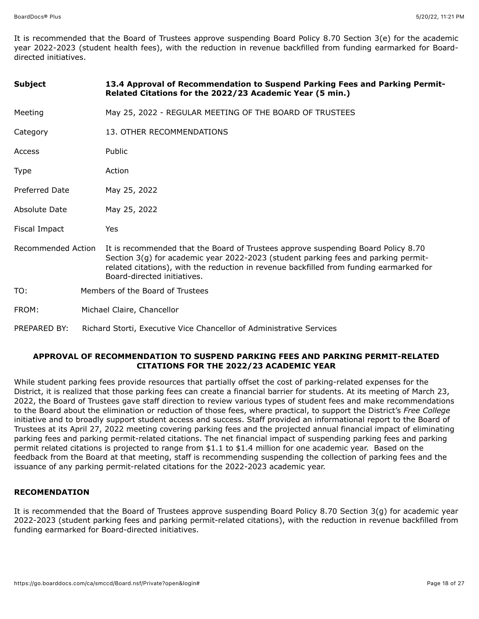It is recommended that the Board of Trustees approve suspending Board Policy 8.70 Section 3(e) for the academic year 2022-2023 (student health fees), with the reduction in revenue backfilled from funding earmarked for Boarddirected initiatives.

| <b>Subject</b>     | 13.4 Approval of Recommendation to Suspend Parking Fees and Parking Permit-<br>Related Citations for the 2022/23 Academic Year (5 min.)                                                                                                                                                           |  |
|--------------------|---------------------------------------------------------------------------------------------------------------------------------------------------------------------------------------------------------------------------------------------------------------------------------------------------|--|
| Meeting            | May 25, 2022 - REGULAR MEETING OF THE BOARD OF TRUSTEES                                                                                                                                                                                                                                           |  |
| Category           | 13. OTHER RECOMMENDATIONS                                                                                                                                                                                                                                                                         |  |
| Access             | Public                                                                                                                                                                                                                                                                                            |  |
| Type               | Action                                                                                                                                                                                                                                                                                            |  |
| Preferred Date     | May 25, 2022                                                                                                                                                                                                                                                                                      |  |
| Absolute Date      | May 25, 2022                                                                                                                                                                                                                                                                                      |  |
| Fiscal Impact      | Yes                                                                                                                                                                                                                                                                                               |  |
| Recommended Action | It is recommended that the Board of Trustees approve suspending Board Policy 8.70<br>Section 3(g) for academic year 2022-2023 (student parking fees and parking permit-<br>related citations), with the reduction in revenue backfilled from funding earmarked for<br>Board-directed initiatives. |  |
| TO:                | Members of the Board of Trustees                                                                                                                                                                                                                                                                  |  |
| FROM:              | Michael Claire, Chancellor                                                                                                                                                                                                                                                                        |  |
| PREPARED BY:       | Richard Storti, Executive Vice Chancellor of Administrative Services                                                                                                                                                                                                                              |  |

### **APPROVAL OF RECOMMENDATION TO SUSPEND PARKING FEES AND PARKING PERMIT-RELATED CITATIONS FOR THE 2022/23 ACADEMIC YEAR**

While student parking fees provide resources that partially offset the cost of parking-related expenses for the District, it is realized that those parking fees can create a financial barrier for students. At its meeting of March 23, 2022, the Board of Trustees gave staff direction to review various types of student fees and make recommendations to the Board about the elimination or reduction of those fees, where practical, to support the District's *Free College* initiative and to broadly support student access and success. Staff provided an informational report to the Board of Trustees at its April 27, 2022 meeting covering parking fees and the projected annual financial impact of eliminating parking fees and parking permit-related citations. The net financial impact of suspending parking fees and parking permit related citations is projected to range from \$1.1 to \$1.4 million for one academic year. Based on the feedback from the Board at that meeting, staff is recommending suspending the collection of parking fees and the issuance of any parking permit-related citations for the 2022-2023 academic year.

#### **RECOMENDATION**

It is recommended that the Board of Trustees approve suspending Board Policy 8.70 Section 3(g) for academic year 2022-2023 (student parking fees and parking permit-related citations), with the reduction in revenue backfilled from funding earmarked for Board-directed initiatives.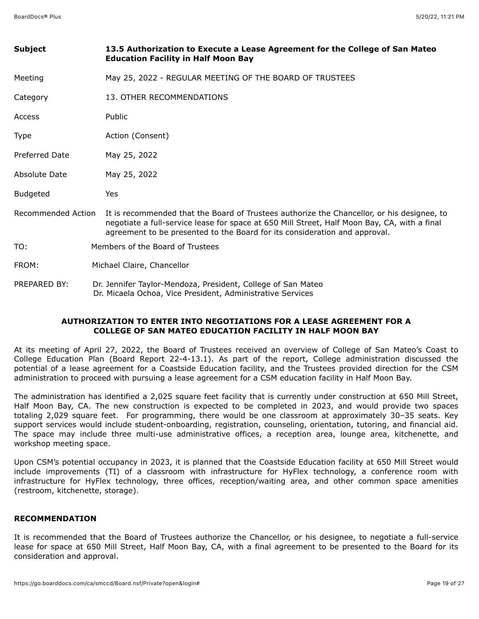| <b>Subject</b>        | 13.5 Authorization to Execute a Lease Agreement for the College of San Mateo<br><b>Education Facility in Half Moon Bay</b>                                                                                                                                               |
|-----------------------|--------------------------------------------------------------------------------------------------------------------------------------------------------------------------------------------------------------------------------------------------------------------------|
| Meeting               | May 25, 2022 - REGULAR MEETING OF THE BOARD OF TRUSTEES                                                                                                                                                                                                                  |
| Category              | 13. OTHER RECOMMENDATIONS                                                                                                                                                                                                                                                |
| Access                | Public                                                                                                                                                                                                                                                                   |
| <b>Type</b>           | Action (Consent)                                                                                                                                                                                                                                                         |
| <b>Preferred Date</b> | May 25, 2022                                                                                                                                                                                                                                                             |
| Absolute Date         | May 25, 2022                                                                                                                                                                                                                                                             |
| <b>Budgeted</b>       | <b>Yes</b>                                                                                                                                                                                                                                                               |
| Recommended Action    | It is recommended that the Board of Trustees authorize the Chancellor, or his designee, to<br>negotiate a full-service lease for space at 650 Mill Street, Half Moon Bay, CA, with a final<br>agreement to be presented to the Board for its consideration and approval. |
| TO:                   | Members of the Board of Trustees                                                                                                                                                                                                                                         |
| FROM:                 | Michael Claire, Chancellor                                                                                                                                                                                                                                               |
| PREPARED BY:          | Dr. Jennifer Taylor-Mendoza, President, College of San Mateo<br>Dr. Micaela Ochoa, Vice President, Administrative Services                                                                                                                                               |

# **AUTHORIZATION TO ENTER INTO NEGOTIATIONS FOR A LEASE AGREEMENT FOR A COLLEGE OF SAN MATEO EDUCATION FACILITY IN HALF MOON BAY**

At its meeting of April 27, 2022, the Board of Trustees received an overview of College of San Mateo's Coast to College Education Plan (Board Report 22-4-13.1). As part of the report, College administration discussed the potential of a lease agreement for a Coastside Education facility, and the Trustees provided direction for the CSM administration to proceed with pursuing a lease agreement for a CSM education facility in Half Moon Bay.

The administration has identified a 2,025 square feet facility that is currently under construction at 650 Mill Street, Half Moon Bay, CA. The new construction is expected to be completed in 2023, and would provide two spaces totaling 2,029 square feet. For programming, there would be one classroom at approximately 30–35 seats. Key support services would include student-onboarding, registration, counseling, orientation, tutoring, and financial aid. The space may include three multi-use administrative offices, a reception area, lounge area, kitchenette, and workshop meeting space.

Upon CSM's potential occupancy in 2023, it is planned that the Coastside Education facility at 650 Mill Street would include improvements (TI) of a classroom with infrastructure for HyFlex technology, a conference room with infrastructure for HyFlex technology, three offices, reception/waiting area, and other common space amenities (restroom, kitchenette, storage).

### **RECOMMENDATION**

It is recommended that the Board of Trustees authorize the Chancellor, or his designee, to negotiate a full-service lease for space at 650 Mill Street, Half Moon Bay, CA, with a final agreement to be presented to the Board for its consideration and approval.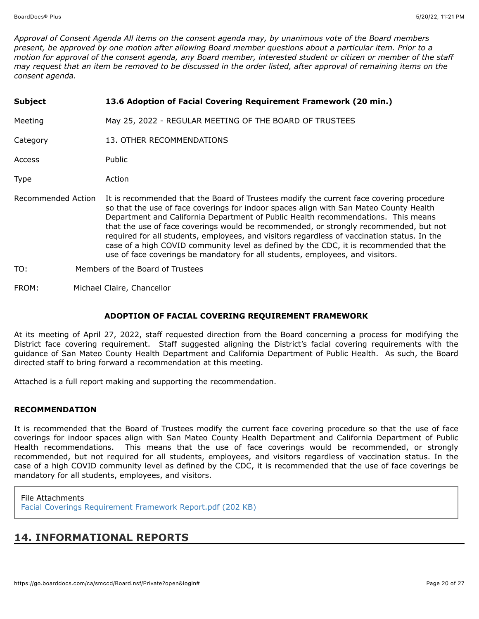*Approval of Consent Agenda All items on the consent agenda may, by unanimous vote of the Board members present, be approved by one motion after allowing Board member questions about a particular item. Prior to a motion for approval of the consent agenda, any Board member, interested student or citizen or member of the staff may request that an item be removed to be discussed in the order listed, after approval of remaining items on the consent agenda.*

| <b>Subject</b>     | 13.6 Adoption of Facial Covering Requirement Framework (20 min.)                                                                                                                                                                                                                                                                                                                                                                                                                                                                                                                                                                          |
|--------------------|-------------------------------------------------------------------------------------------------------------------------------------------------------------------------------------------------------------------------------------------------------------------------------------------------------------------------------------------------------------------------------------------------------------------------------------------------------------------------------------------------------------------------------------------------------------------------------------------------------------------------------------------|
| Meeting            | May 25, 2022 - REGULAR MEETING OF THE BOARD OF TRUSTEES                                                                                                                                                                                                                                                                                                                                                                                                                                                                                                                                                                                   |
| Category           | 13. OTHER RECOMMENDATIONS                                                                                                                                                                                                                                                                                                                                                                                                                                                                                                                                                                                                                 |
| <b>Access</b>      | <b>Public</b>                                                                                                                                                                                                                                                                                                                                                                                                                                                                                                                                                                                                                             |
| Type               | Action                                                                                                                                                                                                                                                                                                                                                                                                                                                                                                                                                                                                                                    |
| Recommended Action | It is recommended that the Board of Trustees modify the current face covering procedure<br>so that the use of face coverings for indoor spaces align with San Mateo County Health<br>Department and California Department of Public Health recommendations. This means<br>that the use of face coverings would be recommended, or strongly recommended, but not<br>required for all students, employees, and visitors regardless of vaccination status. In the<br>case of a high COVID community level as defined by the CDC, it is recommended that the<br>use of face coverings be mandatory for all students, employees, and visitors. |
| TO:                | Members of the Board of Trustees                                                                                                                                                                                                                                                                                                                                                                                                                                                                                                                                                                                                          |

FROM: Michael Claire, Chancellor

### **ADOPTION OF FACIAL COVERING REQUIREMENT FRAMEWORK**

At its meeting of April 27, 2022, staff requested direction from the Board concerning a process for modifying the District face covering requirement. Staff suggested aligning the District's facial covering requirements with the guidance of San Mateo County Health Department and California Department of Public Health. As such, the Board directed staff to bring forward a recommendation at this meeting.

Attached is a full report making and supporting the recommendation.

### **RECOMMENDATION**

It is recommended that the Board of Trustees modify the current face covering procedure so that the use of face coverings for indoor spaces align with San Mateo County Health Department and California Department of Public Health recommendations. This means that the use of face coverings would be recommended, or strongly recommended, but not required for all students, employees, and visitors regardless of vaccination status. In the case of a high COVID community level as defined by the CDC, it is recommended that the use of face coverings be mandatory for all students, employees, and visitors.

File Attachments [Facial Coverings Requirement Framework Report.pdf \(202 KB\)](https://go.boarddocs.com/ca/smccd/Board.nsf/files/CELTRQ78A817/$file/Facial%20Coverings%20Requirement%20Framework%20Report.pdf)

# **14. INFORMATIONAL REPORTS**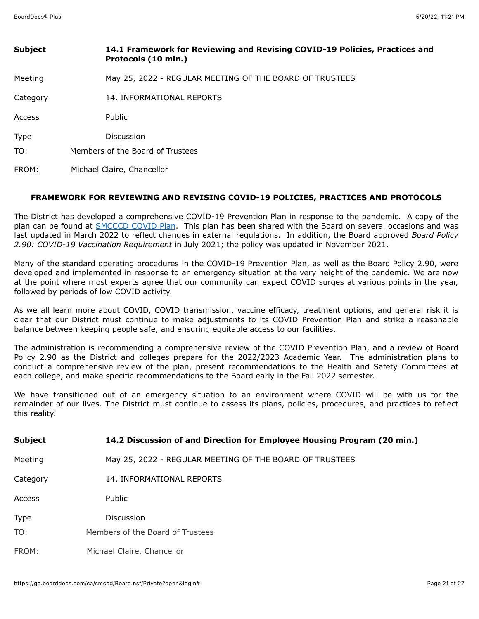| <b>Subject</b> | 14.1 Framework for Reviewing and Revising COVID-19 Policies, Practices and<br>Protocols (10 min.) |
|----------------|---------------------------------------------------------------------------------------------------|
| Meeting        | May 25, 2022 - REGULAR MEETING OF THE BOARD OF TRUSTEES                                           |
| Category       | 14. INFORMATIONAL REPORTS                                                                         |
| Access         | Public                                                                                            |
| Type           | <b>Discussion</b>                                                                                 |
| TO:            | Members of the Board of Trustees                                                                  |
| FROM:          | Michael Claire, Chancellor                                                                        |

### **FRAMEWORK FOR REVIEWING AND REVISING COVID-19 POLICIES, PRACTICES AND PROTOCOLS**

The District has developed a comprehensive COVID-19 Prevention Plan in response to the pandemic. A copy of the plan can be found at [SMCCCD COVID Plan.](https://smccd.edu/return-to-campus/docs/SMCCCDWritten%20COVID%2019%20Prevention%20Program%20030722.pdf) This plan has been shared with the Board on several occasions and was last updated in March 2022 to reflect changes in external regulations. In addition, the Board approved *Board Policy 2.90: COVID-19 Vaccination Requirement* in July 2021; the policy was updated in November 2021.

Many of the standard operating procedures in the COVID-19 Prevention Plan, as well as the Board Policy 2.90, were developed and implemented in response to an emergency situation at the very height of the pandemic. We are now at the point where most experts agree that our community can expect COVID surges at various points in the year, followed by periods of low COVID activity.

As we all learn more about COVID, COVID transmission, vaccine efficacy, treatment options, and general risk it is clear that our District must continue to make adjustments to its COVID Prevention Plan and strike a reasonable balance between keeping people safe, and ensuring equitable access to our facilities.

The administration is recommending a comprehensive review of the COVID Prevention Plan, and a review of Board Policy 2.90 as the District and colleges prepare for the 2022/2023 Academic Year. The administration plans to conduct a comprehensive review of the plan, present recommendations to the Health and Safety Committees at each college, and make specific recommendations to the Board early in the Fall 2022 semester.

We have transitioned out of an emergency situation to an environment where COVID will be with us for the remainder of our lives. The District must continue to assess its plans, policies, procedures, and practices to reflect this reality.

| <b>Subject</b> | 14.2 Discussion of and Direction for Employee Housing Program (20 min.) |
|----------------|-------------------------------------------------------------------------|
| Meeting        | May 25, 2022 - REGULAR MEETING OF THE BOARD OF TRUSTEES                 |
| Category       | 14. INFORMATIONAL REPORTS                                               |
| Access         | <b>Public</b>                                                           |
| Type           | <b>Discussion</b>                                                       |
| TO:            | Members of the Board of Trustees                                        |
| FROM:          | Michael Claire, Chancellor                                              |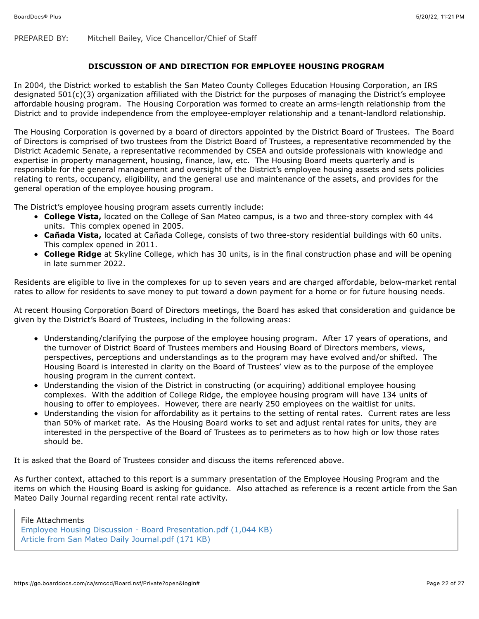PREPARED BY: Mitchell Bailey, Vice Chancellor/Chief of Staff

## **DISCUSSION OF AND DIRECTION FOR EMPLOYEE HOUSING PROGRAM**

In 2004, the District worked to establish the San Mateo County Colleges Education Housing Corporation, an IRS designated 501(c)(3) organization affiliated with the District for the purposes of managing the District's employee affordable housing program. The Housing Corporation was formed to create an arms-length relationship from the District and to provide independence from the employee-employer relationship and a tenant-landlord relationship.

The Housing Corporation is governed by a board of directors appointed by the District Board of Trustees. The Board of Directors is comprised of two trustees from the District Board of Trustees, a representative recommended by the District Academic Senate, a representative recommended by CSEA and outside professionals with knowledge and expertise in property management, housing, finance, law, etc. The Housing Board meets quarterly and is responsible for the general management and oversight of the District's employee housing assets and sets policies relating to rents, occupancy, eligibility, and the general use and maintenance of the assets, and provides for the general operation of the employee housing program.

The District's employee housing program assets currently include:

- **College Vista,** located on the College of San Mateo campus, is a two and three-story complex with 44 units. This complex opened in 2005.
- **Cañada Vista,** located at Cañada College, consists of two three-story residential buildings with 60 units. This complex opened in 2011.
- **College Ridge** at Skyline College, which has 30 units, is in the final construction phase and will be opening in late summer 2022.

Residents are eligible to live in the complexes for up to seven years and are charged affordable, below-market rental rates to allow for residents to save money to put toward a down payment for a home or for future housing needs.

At recent Housing Corporation Board of Directors meetings, the Board has asked that consideration and guidance be given by the District's Board of Trustees, including in the following areas:

- Understanding/clarifying the purpose of the employee housing program. After 17 years of operations, and the turnover of District Board of Trustees members and Housing Board of Directors members, views, perspectives, perceptions and understandings as to the program may have evolved and/or shifted. The Housing Board is interested in clarity on the Board of Trustees' view as to the purpose of the employee housing program in the current context.
- Understanding the vision of the District in constructing (or acquiring) additional employee housing complexes. With the addition of College Ridge, the employee housing program will have 134 units of housing to offer to employees. However, there are nearly 250 employees on the waitlist for units.
- Understanding the vision for affordability as it pertains to the setting of rental rates. Current rates are less than 50% of market rate. As the Housing Board works to set and adjust rental rates for units, they are interested in the perspective of the Board of Trustees as to perimeters as to how high or low those rates should be.

It is asked that the Board of Trustees consider and discuss the items referenced above.

As further context, attached to this report is a summary presentation of the Employee Housing Program and the items on which the Housing Board is asking for guidance. Also attached as reference is a recent article from the San Mateo Daily Journal regarding recent rental rate activity.

File Attachments [Employee Housing Discussion - Board Presentation.pdf \(1,044 KB\)](https://go.boarddocs.com/ca/smccd/Board.nsf/files/CEL2FJ01F9A0/$file/Employee%20Housing%20Discussion%20-%20Board%20Presentation.pdf) [Article from San Mateo Daily Journal.pdf \(171 KB\)](https://go.boarddocs.com/ca/smccd/Board.nsf/files/CEL2FU0205AF/$file/Article%20from%20San%20Mateo%20Daily%20Journal.pdf)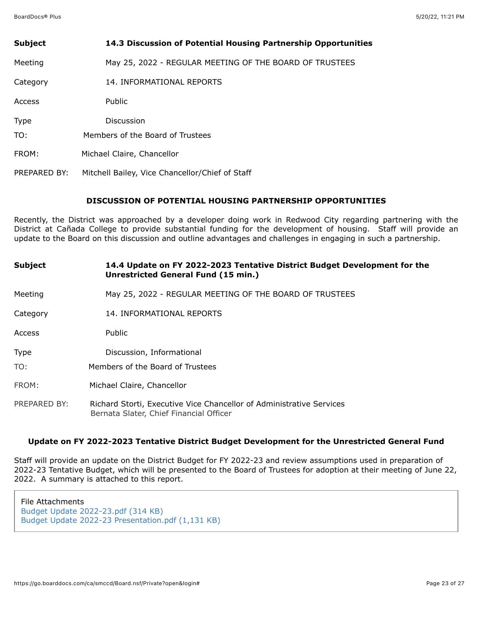| <b>Subject</b> | 14.3 Discussion of Potential Housing Partnership Opportunities |
|----------------|----------------------------------------------------------------|
| Meeting        | May 25, 2022 - REGULAR MEETING OF THE BOARD OF TRUSTEES        |
| Category       | 14. INFORMATIONAL REPORTS                                      |
| Access         | Public                                                         |
| <b>Type</b>    | <b>Discussion</b>                                              |
| TO:            | Members of the Board of Trustees                               |
| FROM:          | Michael Claire, Chancellor                                     |
| PREPARED BY:   | Mitchell Bailey, Vice Chancellor/Chief of Staff                |

### **DISCUSSION OF POTENTIAL HOUSING PARTNERSHIP OPPORTUNITIES**

Recently, the District was approached by a developer doing work in Redwood City regarding partnering with the District at Cañada College to provide substantial funding for the development of housing. Staff will provide an update to the Board on this discussion and outline advantages and challenges in engaging in such a partnership.

| <b>Subject</b> | 14.4 Update on FY 2022-2023 Tentative District Budget Development for the<br><b>Unrestricted General Fund (15 min.)</b> |
|----------------|-------------------------------------------------------------------------------------------------------------------------|
| Meeting        | May 25, 2022 - REGULAR MEETING OF THE BOARD OF TRUSTEES                                                                 |
| Category       | 14. INFORMATIONAL REPORTS                                                                                               |
| Access         | Public                                                                                                                  |
| Type           | Discussion, Informational                                                                                               |
| TO:            | Members of the Board of Trustees                                                                                        |
| FROM:          | Michael Claire, Chancellor                                                                                              |
| PREPARED BY:   | Richard Storti, Executive Vice Chancellor of Administrative Services<br>Bernata Slater, Chief Financial Officer         |

### **Update on FY 2022-2023 Tentative District Budget Development for the Unrestricted General Fund**

Staff will provide an update on the District Budget for FY 2022-23 and review assumptions used in preparation of 2022-23 Tentative Budget, which will be presented to the Board of Trustees for adoption at their meeting of June 22, 2022. A summary is attached to this report.

File Attachments [Budget Update 2022-23.pdf \(314 KB\)](https://go.boarddocs.com/ca/smccd/Board.nsf/files/CEL28U00FEB8/$file/Budget%20Update%202022-23.pdf) [Budget Update 2022-23 Presentation.pdf \(1,131 KB\)](https://go.boarddocs.com/ca/smccd/Board.nsf/files/CEL28X01024F/$file/Budget%20Update%202022-23%20Presentation.pdf)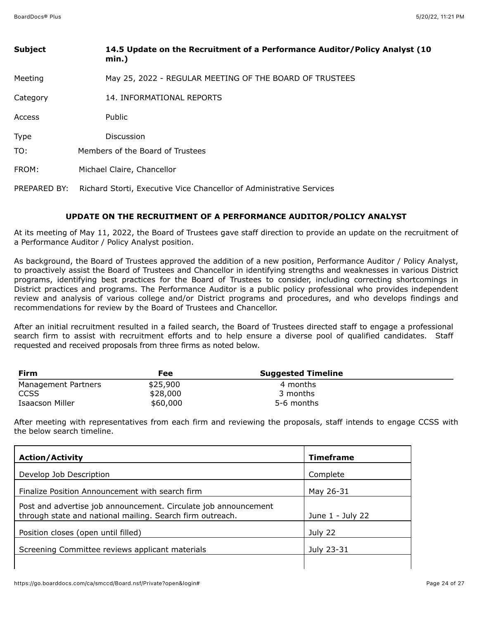| <b>Subject</b> | 14.5 Update on the Recruitment of a Performance Auditor/Policy Analyst (10<br>$min.$ ) |
|----------------|----------------------------------------------------------------------------------------|
| Meeting        | May 25, 2022 - REGULAR MEETING OF THE BOARD OF TRUSTEES                                |
| Category       | 14. INFORMATIONAL REPORTS                                                              |
| Access         | Public                                                                                 |
| Type           | Discussion                                                                             |
| TO:            | Members of the Board of Trustees                                                       |
| FROM:          | Michael Claire, Chancellor                                                             |
| PREPARED BY:   | Richard Storti, Executive Vice Chancellor of Administrative Services                   |

## **UPDATE ON THE RECRUITMENT OF A PERFORMANCE AUDITOR/POLICY ANALYST**

At its meeting of May 11, 2022, the Board of Trustees gave staff direction to provide an update on the recruitment of a Performance Auditor / Policy Analyst position.

As background, the Board of Trustees approved the addition of a new position, Performance Auditor / Policy Analyst, to proactively assist the Board of Trustees and Chancellor in identifying strengths and weaknesses in various District programs, identifying best practices for the Board of Trustees to consider, including correcting shortcomings in District practices and programs. The Performance Auditor is a public policy professional who provides independent review and analysis of various college and/or District programs and procedures, and who develops findings and recommendations for review by the Board of Trustees and Chancellor.

After an initial recruitment resulted in a failed search, the Board of Trustees directed staff to engage a professional search firm to assist with recruitment efforts and to help ensure a diverse pool of qualified candidates. Staff requested and received proposals from three firms as noted below.

| Firm                | Fee      | <b>Suggested Timeline</b> |  |
|---------------------|----------|---------------------------|--|
| Management Partners | \$25,900 | 4 months                  |  |
| CCSS                | \$28,000 | 3 months                  |  |
| Isaacson Miller     | \$60,000 | 5-6 months                |  |

After meeting with representatives from each firm and reviewing the proposals, staff intends to engage CCSS with the below search timeline.

| <b>Action/Activity</b>                                                                                                       | <b>Timeframe</b> |
|------------------------------------------------------------------------------------------------------------------------------|------------------|
| Develop Job Description                                                                                                      | Complete         |
| Finalize Position Announcement with search firm                                                                              | May 26-31        |
| Post and advertise job announcement. Circulate job announcement<br>through state and national mailing. Search firm outreach. | June 1 - July 22 |
| Position closes (open until filled)                                                                                          | July 22          |
| Screening Committee reviews applicant materials                                                                              | July 23-31       |
|                                                                                                                              |                  |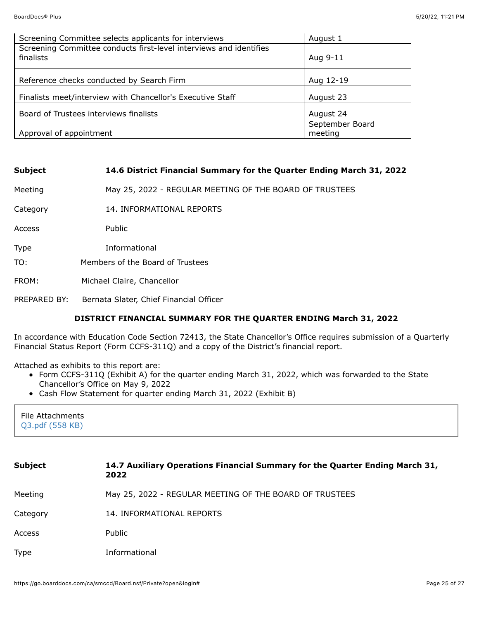| Screening Committee selects applicants for interviews                           | August 1        |
|---------------------------------------------------------------------------------|-----------------|
| Screening Committee conducts first-level interviews and identifies<br>finalists | Aug 9-11        |
| Reference checks conducted by Search Firm                                       | Aug 12-19       |
| Finalists meet/interview with Chancellor's Executive Staff                      | August 23       |
| Board of Trustees interviews finalists                                          | August 24       |
|                                                                                 | September Board |
| Approval of appointment                                                         | meeting         |

| <b>Subject</b> | 14.6 District Financial Summary for the Quarter Ending March 31, 2022 |
|----------------|-----------------------------------------------------------------------|
| Meeting        | May 25, 2022 - REGULAR MEETING OF THE BOARD OF TRUSTEES               |
| Category       | 14. INFORMATIONAL REPORTS                                             |
| Access         | Public                                                                |
| Type           | Informational                                                         |
| TO:            | Members of the Board of Trustees                                      |
| FROM:          | Michael Claire, Chancellor                                            |
| PREPARED BY:   | Bernata Slater, Chief Financial Officer                               |

# **DISTRICT FINANCIAL SUMMARY FOR THE QUARTER ENDING March 31, 2022**

In accordance with Education Code Section 72413, the State Chancellor's Office requires submission of a Quarterly Financial Status Report (Form CCFS-311Q) and a copy of the District's financial report.

Attached as exhibits to this report are:

- Form CCFS-311Q (Exhibit A) for the quarter ending March 31, 2022, which was forwarded to the State Chancellor's Office on May 9, 2022
- Cash Flow Statement for quarter ending March 31, 2022 (Exhibit B)

| File Attachments         |
|--------------------------|
| $\sqrt{Q3.pdf}$ (558 KB) |
|                          |

| <b>Subject</b> | 14.7 Auxiliary Operations Financial Summary for the Quarter Ending March 31,<br>2022 |
|----------------|--------------------------------------------------------------------------------------|
| Meeting        | May 25, 2022 - REGULAR MEETING OF THE BOARD OF TRUSTEES                              |
| Category       | 14. INFORMATIONAL REPORTS                                                            |
| Access         | Public                                                                               |
| <b>Type</b>    | Informational                                                                        |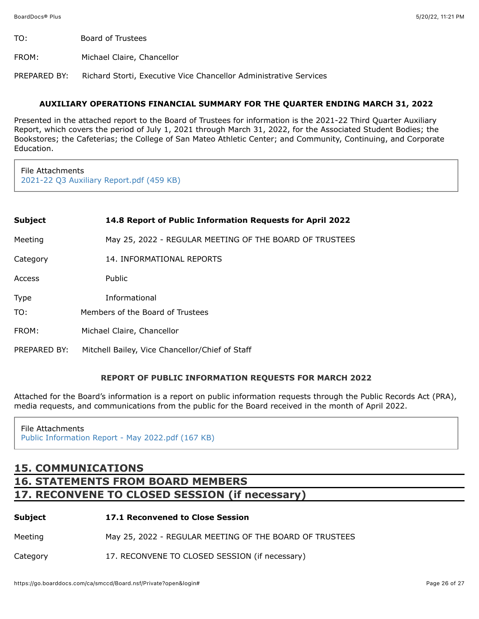- TO: Board of Trustees
- FROM: Michael Claire, Chancellor

PREPARED BY: Richard Storti, Executive Vice Chancellor Administrative Services

### **AUXILIARY OPERATIONS FINANCIAL SUMMARY FOR THE QUARTER ENDING MARCH 31, 2022**

Presented in the attached report to the Board of Trustees for information is the 2021-22 Third Quarter Auxiliary Report, which covers the period of July 1, 2021 through March 31, 2022, for the Associated Student Bodies; the Bookstores; the Cafeterias; the College of San Mateo Athletic Center; and Community, Continuing, and Corporate Education.

File Attachments [2021-22 Q3 Auxiliary Report.pdf \(459 KB\)](https://go.boarddocs.com/ca/smccd/Board.nsf/files/CEJLYN5724EB/$file/2021-22%20Q3%20Auxiliary%20Report.pdf)

| Subject | 14.8 Report of Public Information Requests for April 2022 |
|---------|-----------------------------------------------------------|
|---------|-----------------------------------------------------------|

Meeting May 25, 2022 - REGULAR MEETING OF THE BOARD OF TRUSTEES

Category 14. INFORMATIONAL REPORTS

Access Public

- Type Informational
- TO: Members of the Board of Trustees
- FROM: Michael Claire, Chancellor
- PREPARED BY: Mitchell Bailey, Vice Chancellor/Chief of Staff

### **REPORT OF PUBLIC INFORMATION REQUESTS FOR MARCH 2022**

Attached for the Board's information is a report on public information requests through the Public Records Act (PRA), media requests, and communications from the public for the Board received in the month of April 2022.

# File Attachments [Public Information Report - May 2022.pdf \(167 KB\)](https://go.boarddocs.com/ca/smccd/Board.nsf/files/CELU5K7A63B6/$file/Public%20Information%20Report%20-%20May%202022.pdf)

# **15. COMMUNICATIONS 16. STATEMENTS FROM BOARD MEMBERS 17. RECONVENE TO CLOSED SESSION (if necessary)**

# **Subject 17.1 Reconvened to Close Session** Meeting May 25, 2022 - REGULAR MEETING OF THE BOARD OF TRUSTEES Category 17. RECONVENE TO CLOSED SESSION (if necessary)